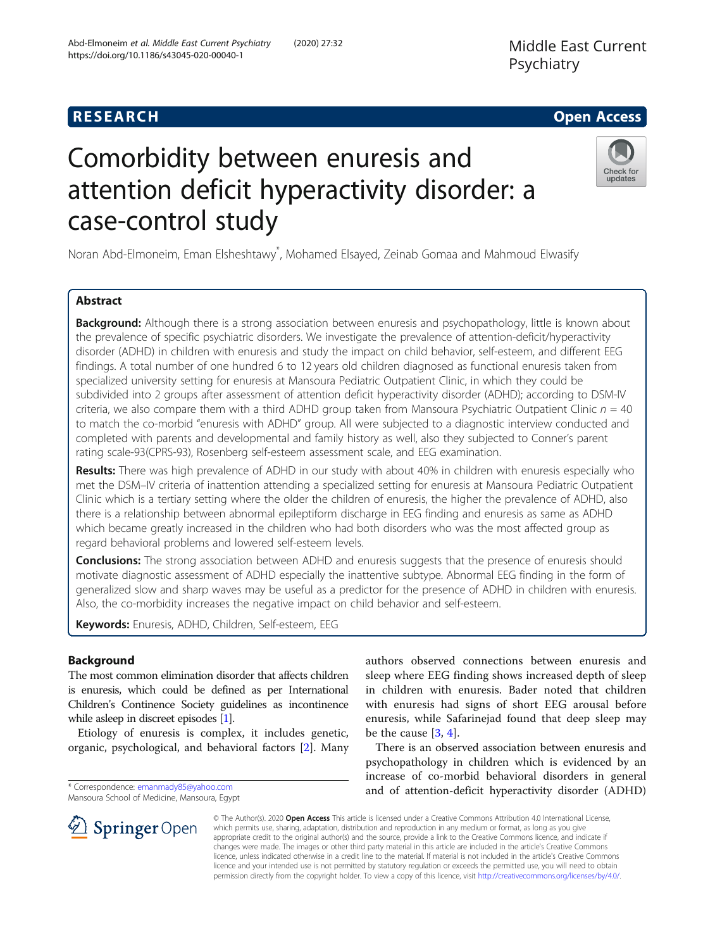# **RESEARCH CHE Open Access**

# Comorbidity between enuresis and attention deficit hyperactivity disorder: a case-control study

Noran Abd-Elmoneim, Eman Elsheshtawy\* , Mohamed Elsayed, Zeinab Gomaa and Mahmoud Elwasify

# Abstract

**Background:** Although there is a strong association between enuresis and psychopathology, little is known about the prevalence of specific psychiatric disorders. We investigate the prevalence of attention-deficit/hyperactivity disorder (ADHD) in children with enuresis and study the impact on child behavior, self-esteem, and different EEG findings. A total number of one hundred 6 to 12 years old children diagnosed as functional enuresis taken from specialized university setting for enuresis at Mansoura Pediatric Outpatient Clinic, in which they could be subdivided into 2 groups after assessment of attention deficit hyperactivity disorder (ADHD); according to DSM-IV criteria, we also compare them with a third ADHD group taken from Mansoura Psychiatric Outpatient Clinic  $n = 40$ to match the co-morbid "enuresis with ADHD" group. All were subjected to a diagnostic interview conducted and completed with parents and developmental and family history as well, also they subjected to Conner's parent rating scale-93(CPRS-93), Rosenberg self-esteem assessment scale, and EEG examination.

Results: There was high prevalence of ADHD in our study with about 40% in children with enuresis especially who met the DSM–IV criteria of inattention attending a specialized setting for enuresis at Mansoura Pediatric Outpatient Clinic which is a tertiary setting where the older the children of enuresis, the higher the prevalence of ADHD, also there is a relationship between abnormal epileptiform discharge in EEG finding and enuresis as same as ADHD which became greatly increased in the children who had both disorders who was the most affected group as regard behavioral problems and lowered self-esteem levels.

**Conclusions:** The strong association between ADHD and enuresis suggests that the presence of enuresis should motivate diagnostic assessment of ADHD especially the inattentive subtype. Abnormal EEG finding in the form of generalized slow and sharp waves may be useful as a predictor for the presence of ADHD in children with enuresis. Also, the co-morbidity increases the negative impact on child behavior and self-esteem.

Keywords: Enuresis, ADHD, Children, Self-esteem, EEG

# Background

The most common elimination disorder that affects children is enuresis, which could be defined as per International Children's Continence Society guidelines as incontinence while asleep in discreet episodes [\[1\]](#page-5-0).

Etiology of enuresis is complex, it includes genetic, organic, psychological, and behavioral factors [\[2](#page-5-0)]. Many

\* Correspondence: [emanmady85@yahoo.com](mailto:emanmady85@yahoo.com)

Mansoura School of Medicine, Mansoura, Egypt

 $\mathscr{L}$  Springer Open

authors observed connections between enuresis and sleep where EEG finding shows increased depth of sleep in children with enuresis. Bader noted that children with enuresis had signs of short EEG arousal before enuresis, while Safarinejad found that deep sleep may be the cause [\[3](#page-5-0), [4\]](#page-5-0).

There is an observed association between enuresis and psychopathology in children which is evidenced by an increase of co-morbid behavioral disorders in general and of attention-deficit hyperactivity disorder (ADHD)

© The Author(s). 2020 Open Access This article is licensed under a Creative Commons Attribution 4.0 International License, which permits use, sharing, adaptation, distribution and reproduction in any medium or format, as long as you give appropriate credit to the original author(s) and the source, provide a link to the Creative Commons licence, and indicate if changes were made. The images or other third party material in this article are included in the article's Creative Commons licence, unless indicated otherwise in a credit line to the material. If material is not included in the article's Creative Commons licence and your intended use is not permitted by statutory regulation or exceeds the permitted use, you will need to obtain permission directly from the copyright holder. To view a copy of this licence, visit <http://creativecommons.org/licenses/by/4.0/>.





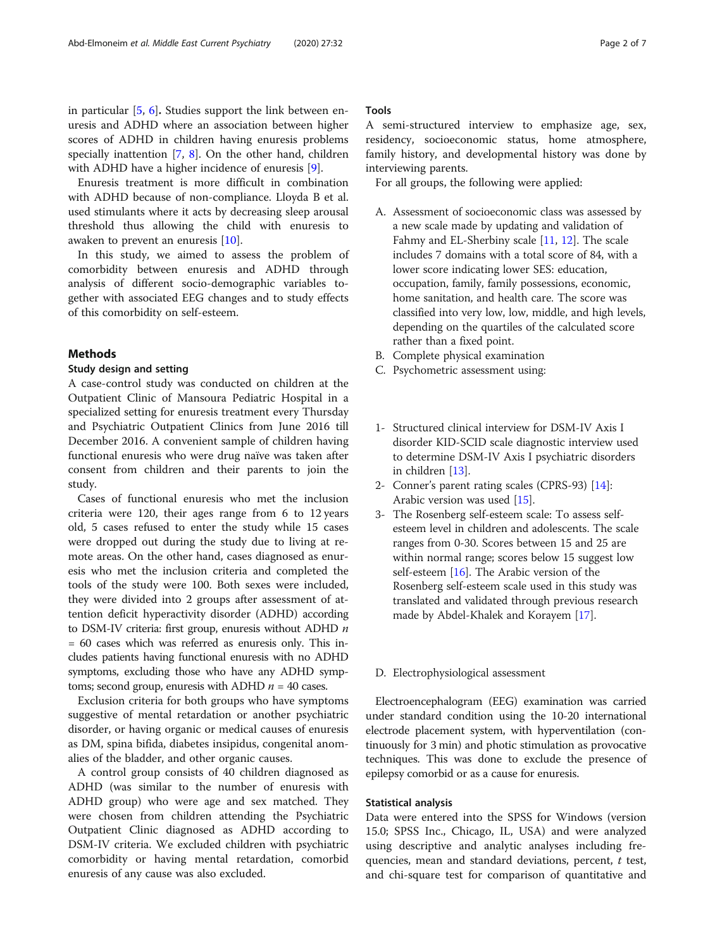in particular [[5,](#page-5-0) [6\]](#page-5-0). Studies support the link between enuresis and ADHD where an association between higher scores of ADHD in children having enuresis problems specially inattention [[7](#page-5-0), [8](#page-5-0)]. On the other hand, children with ADHD have a higher incidence of enuresis [\[9](#page-5-0)].

Enuresis treatment is more difficult in combination with ADHD because of non-compliance. Lloyda B et al. used stimulants where it acts by decreasing sleep arousal threshold thus allowing the child with enuresis to awaken to prevent an enuresis [\[10\]](#page-5-0).

In this study, we aimed to assess the problem of comorbidity between enuresis and ADHD through analysis of different socio-demographic variables together with associated EEG changes and to study effects of this comorbidity on self-esteem.

# Methods

## Study design and setting

A case-control study was conducted on children at the Outpatient Clinic of Mansoura Pediatric Hospital in a specialized setting for enuresis treatment every Thursday and Psychiatric Outpatient Clinics from June 2016 till December 2016. A convenient sample of children having functional enuresis who were drug naïve was taken after consent from children and their parents to join the study.

Cases of functional enuresis who met the inclusion criteria were 120, their ages range from 6 to 12 years old, 5 cases refused to enter the study while 15 cases were dropped out during the study due to living at remote areas. On the other hand, cases diagnosed as enuresis who met the inclusion criteria and completed the tools of the study were 100. Both sexes were included, they were divided into 2 groups after assessment of attention deficit hyperactivity disorder (ADHD) according to DSM-IV criteria: first group, enuresis without ADHD  $n$ = 60 cases which was referred as enuresis only. This includes patients having functional enuresis with no ADHD symptoms, excluding those who have any ADHD symptoms; second group, enuresis with ADHD  $n = 40$  cases.

Exclusion criteria for both groups who have symptoms suggestive of mental retardation or another psychiatric disorder, or having organic or medical causes of enuresis as DM, spina bifida, diabetes insipidus, congenital anomalies of the bladder, and other organic causes.

A control group consists of 40 children diagnosed as ADHD (was similar to the number of enuresis with ADHD group) who were age and sex matched. They were chosen from children attending the Psychiatric Outpatient Clinic diagnosed as ADHD according to DSM-IV criteria. We excluded children with psychiatric comorbidity or having mental retardation, comorbid enuresis of any cause was also excluded.

# Tools

A semi-structured interview to emphasize age, sex, residency, socioeconomic status, home atmosphere, family history, and developmental history was done by interviewing parents.

For all groups, the following were applied:

- A. Assessment of socioeconomic class was assessed by a new scale made by updating and validation of Fahmy and EL-Sherbiny scale [\[11,](#page-5-0) [12](#page-5-0)]. The scale includes 7 domains with a total score of 84, with a lower score indicating lower SES: education, occupation, family, family possessions, economic, home sanitation, and health care. The score was classified into very low, low, middle, and high levels, depending on the quartiles of the calculated score rather than a fixed point.
- B. Complete physical examination
- C. Psychometric assessment using:
- 1- Structured clinical interview for DSM-IV Axis I disorder KID-SCID scale diagnostic interview used to determine DSM-IV Axis I psychiatric disorders in children [\[13\]](#page-5-0).
- 2- Conner's parent rating scales (CPRS-93) [[14](#page-5-0)]: Arabic version was used [\[15\]](#page-5-0).
- 3- The Rosenberg self-esteem scale: To assess selfesteem level in children and adolescents. The scale ranges from 0-30. Scores between 15 and 25 are within normal range; scores below 15 suggest low self-esteem [\[16\]](#page-5-0). The Arabic version of the Rosenberg self-esteem scale used in this study was translated and validated through previous research made by Abdel-Khalek and Korayem [\[17\]](#page-5-0).

#### D. Electrophysiological assessment

Electroencephalogram (EEG) examination was carried under standard condition using the 10-20 international electrode placement system, with hyperventilation (continuously for 3 min) and photic stimulation as provocative techniques. This was done to exclude the presence of epilepsy comorbid or as a cause for enuresis.

# Statistical analysis

Data were entered into the SPSS for Windows (version 15.0; SPSS Inc., Chicago, IL, USA) and were analyzed using descriptive and analytic analyses including frequencies, mean and standard deviations, percent, t test, and chi-square test for comparison of quantitative and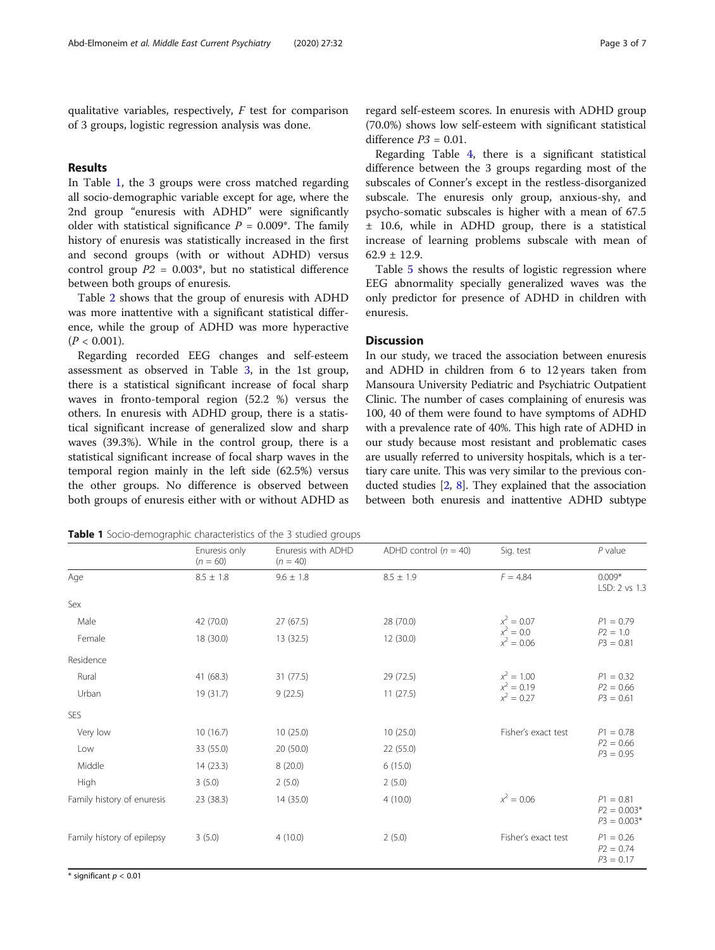qualitative variables, respectively,  $F$  test for comparison of 3 groups, logistic regression analysis was done.

# Results

In Table 1, the 3 groups were cross matched regarding all socio-demographic variable except for age, where the 2nd group "enuresis with ADHD" were significantly older with statistical significance  $P = 0.009^*$ . The family history of enuresis was statistically increased in the first and second groups (with or without ADHD) versus control group  $P2 = 0.003$ <sup>\*</sup>, but no statistical difference between both groups of enuresis.

Table [2](#page-3-0) shows that the group of enuresis with ADHD was more inattentive with a significant statistical difference, while the group of ADHD was more hyperactive  $(P < 0.001)$ .

Regarding recorded EEG changes and self-esteem assessment as observed in Table [3](#page-3-0), in the 1st group, there is a statistical significant increase of focal sharp waves in fronto-temporal region (52.2 %) versus the others. In enuresis with ADHD group, there is a statistical significant increase of generalized slow and sharp waves (39.3%). While in the control group, there is a statistical significant increase of focal sharp waves in the temporal region mainly in the left side (62.5%) versus the other groups. No difference is observed between both groups of enuresis either with or without ADHD as regard self-esteem scores. In enuresis with ADHD group (70.0%) shows low self-esteem with significant statistical difference  $P3 = 0.01$ .

Regarding Table [4](#page-4-0), there is a significant statistical difference between the 3 groups regarding most of the subscales of Conner's except in the restless-disorganized subscale. The enuresis only group, anxious-shy, and psycho-somatic subscales is higher with a mean of 67.5 ± 10.6, while in ADHD group, there is a statistical increase of learning problems subscale with mean of  $62.9 \pm 12.9$ .

Table [5](#page-4-0) shows the results of logistic regression where EEG abnormality specially generalized waves was the only predictor for presence of ADHD in children with enuresis.

# **Discussion**

In our study, we traced the association between enuresis and ADHD in children from 6 to 12 years taken from Mansoura University Pediatric and Psychiatric Outpatient Clinic. The number of cases complaining of enuresis was 100, 40 of them were found to have symptoms of ADHD with a prevalence rate of 40%. This high rate of ADHD in our study because most resistant and problematic cases are usually referred to university hospitals, which is a tertiary care unite. This was very similar to the previous conducted studies [[2,](#page-5-0) [8](#page-5-0)]. They explained that the association between both enuresis and inattentive ADHD subtype

**Table 1** Socio-demographic characteristics of the 3 studied groups

|                            | Enuresis only<br>$(n = 60)$ | Enuresis with ADHD<br>$(n = 40)$ | ADHD control $(n = 40)$ | Sig. test                    | $P$ value                                     |
|----------------------------|-----------------------------|----------------------------------|-------------------------|------------------------------|-----------------------------------------------|
| Age                        | $8.5 \pm 1.8$               | $9.6 \pm 1.8$                    | $8.5 \pm 1.9$           | $F = 4.84$                   | $0.009*$<br>LSD: 2 vs 1.3                     |
| Sex                        |                             |                                  |                         |                              |                                               |
| Male                       | 42 (70.0)                   | 27(67.5)                         | 28 (70.0)               | $x^2 = 0.07$                 | $P1 = 0.79$<br>$P2 = 1.0$<br>$P3 = 0.81$      |
| Female                     | 18 (30.0)                   | 13 (32.5)                        | 12(30.0)                | $x^2 = 0.0$<br>$x^2 = 0.06$  |                                               |
| Residence                  |                             |                                  |                         |                              |                                               |
| Rural                      | 41 (68.3)                   | 31(77.5)                         | 29 (72.5)               | $x^2 = 1.00$                 | $P1 = 0.32$<br>$P2 = 0.66$<br>$P3 = 0.61$     |
| Urban                      | 19 (31.7)                   | 9(22.5)                          | 11(27.5)                | $x^2 = 0.19$<br>$x^2 = 0.27$ |                                               |
| <b>SES</b>                 |                             |                                  |                         |                              |                                               |
| Very low                   | 10(16.7)                    | 10(25.0)                         | 10(25.0)                | Fisher's exact test          | $P1 = 0.78$<br>$P2 = 0.66$<br>$P3 = 0.95$     |
| Low                        | 33 (55.0)                   | 20(50.0)                         | 22 (55.0)               |                              |                                               |
| Middle                     | 14(23.3)                    | 8(20.0)                          | 6(15.0)                 |                              |                                               |
| High                       | 3(5.0)                      | 2(5.0)                           | 2(5.0)                  |                              |                                               |
| Family history of enuresis | 23(38.3)                    | 14 (35.0)                        | 4(10.0)                 | $x^2 = 0.06$                 | $P1 = 0.81$<br>$P2 = 0.003*$<br>$P3 = 0.003*$ |
| Family history of epilepsy | 3(5.0)                      | 4(10.0)                          | 2(5.0)                  | Fisher's exact test          | $P1 = 0.26$<br>$P2 = 0.74$<br>$P3 = 0.17$     |

 $*$  significant  $p < 0.01$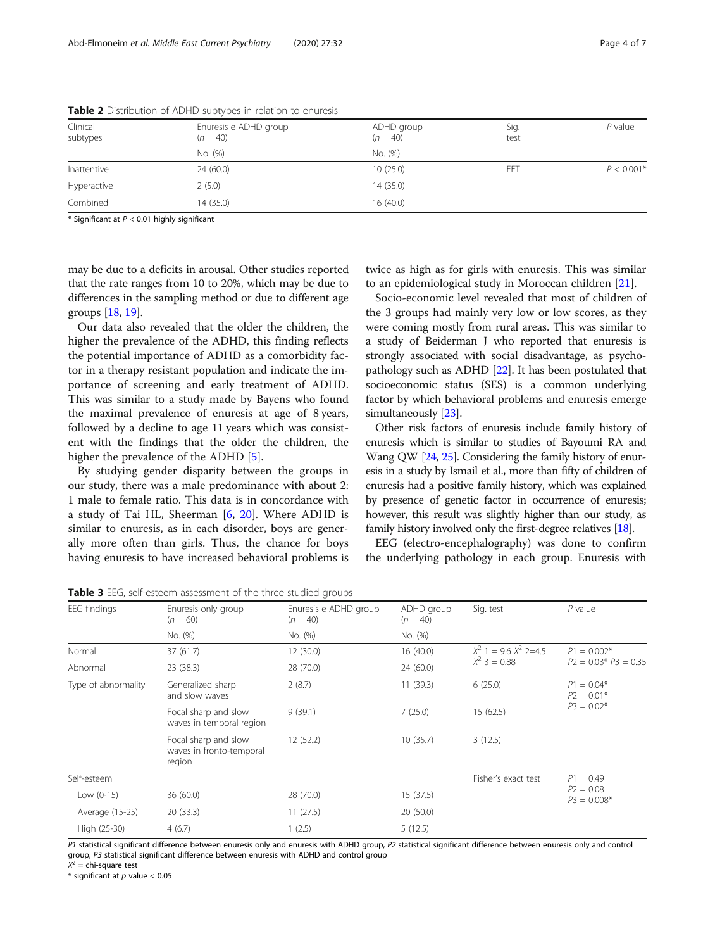| Clinical<br>subtypes | Enuresis e ADHD group<br>$(n = 40)$ | ADHD group<br>$(n = 40)$ | Sig.<br>test | P value      |
|----------------------|-------------------------------------|--------------------------|--------------|--------------|
|                      | No. (%)                             | No. (%)                  |              |              |
| Inattentive          | 24(60.0)                            | 10(25.0)                 | FET          | $P < 0.001*$ |
| Hyperactive          | 2(5.0)                              | 14 (35.0)                |              |              |
| Combined             | 14 (35.0)                           | 16 (40.0)                |              |              |

<span id="page-3-0"></span>Table 2 Distribution of ADHD subtypes in relation to enuresis

 $*$  Significant at  $P < 0.01$  highly significant

may be due to a deficits in arousal. Other studies reported that the rate ranges from 10 to 20%, which may be due to differences in the sampling method or due to different age groups [[18](#page-5-0), [19\]](#page-5-0).

Our data also revealed that the older the children, the higher the prevalence of the ADHD, this finding reflects the potential importance of ADHD as a comorbidity factor in a therapy resistant population and indicate the importance of screening and early treatment of ADHD. This was similar to a study made by Bayens who found the maximal prevalence of enuresis at age of 8 years, followed by a decline to age 11 years which was consistent with the findings that the older the children, the higher the prevalence of the ADHD [\[5](#page-5-0)].

By studying gender disparity between the groups in our study, there was a male predominance with about 2: 1 male to female ratio. This data is in concordance with a study of Tai HL, Sheerman [[6,](#page-5-0) [20\]](#page-5-0). Where ADHD is similar to enuresis, as in each disorder, boys are generally more often than girls. Thus, the chance for boys having enuresis to have increased behavioral problems is

twice as high as for girls with enuresis. This was similar to an epidemiological study in Moroccan children [[21](#page-5-0)].

Socio-economic level revealed that most of children of the 3 groups had mainly very low or low scores, as they were coming mostly from rural areas. This was similar to a study of Beiderman J who reported that enuresis is strongly associated with social disadvantage, as psychopathology such as ADHD [[22](#page-5-0)]. It has been postulated that socioeconomic status (SES) is a common underlying factor by which behavioral problems and enuresis emerge simultaneously [\[23\]](#page-5-0).

Other risk factors of enuresis include family history of enuresis which is similar to studies of Bayoumi RA and Wang QW [\[24,](#page-6-0) [25\]](#page-6-0). Considering the family history of enuresis in a study by Ismail et al., more than fifty of children of enuresis had a positive family history, which was explained by presence of genetic factor in occurrence of enuresis; however, this result was slightly higher than our study, as family history involved only the first-degree relatives [\[18\]](#page-5-0).

EEG (electro-encephalography) was done to confirm the underlying pathology in each group. Enuresis with

| EEG findings        | Enuresis only group<br>$(n = 60)$                          | Enuresis e ADHD group<br>$(n = 40)$ | ADHD group<br>$(n = 40)$ | Sig. test                 | $P$ value                    |  |
|---------------------|------------------------------------------------------------|-------------------------------------|--------------------------|---------------------------|------------------------------|--|
|                     | No. (%)                                                    | No. (%)                             | No. (%)                  |                           |                              |  |
| Normal              | 37(61.7)                                                   | 12(30.0)                            | 16(40.0)                 | $X^2$ 1 = 9.6 $X^2$ 2=4.5 | $P1 = 0.002*$                |  |
| Abnormal            | 23 (38.3)                                                  | 28 (70.0)                           | 24(60.0)                 | $X^2$ 3 = 0.88            | $P2 = 0.03* P3 = 0.35$       |  |
| Type of abnormality | Generalized sharp<br>and slow waves                        | 2(8.7)                              | 11(39.3)                 | 6(25.0)                   | $P1 = 0.04*$<br>$P2 = 0.01*$ |  |
|                     | Focal sharp and slow<br>waves in temporal region           | 9(39.1)                             | 7(25.0)                  | 15 (62.5)                 | $P3 = 0.02*$                 |  |
|                     | Focal sharp and slow<br>waves in fronto-temporal<br>region | 12 (52.2)                           | 10(35.7)                 | 3(12.5)                   |                              |  |
| Self-esteem         |                                                            |                                     |                          | Fisher's exact test       | $P1 = 0.49$                  |  |
| Low $(0-15)$        | 36(60.0)                                                   | 28 (70.0)                           | 15(37.5)                 |                           | $P2 = 0.08$<br>$P3 = 0.008*$ |  |
| Average (15-25)     | 20(33.3)                                                   | 11(27.5)                            | 20(50.0)                 |                           |                              |  |
| High (25-30)        | 4(6.7)                                                     | 1(2.5)                              | 5(12.5)                  |                           |                              |  |
|                     |                                                            |                                     |                          |                           |                              |  |

Table 3 EEG, self-esteem assessment of the three studied groups

P1 statistical significant difference between enuresis only and enuresis with ADHD group, P2 statistical significant difference between enuresis only and control group, P3 statistical significant difference between enuresis with ADHD and control group  $X^2$  = chi-square test

 $*$  significant at  $p$  value < 0.05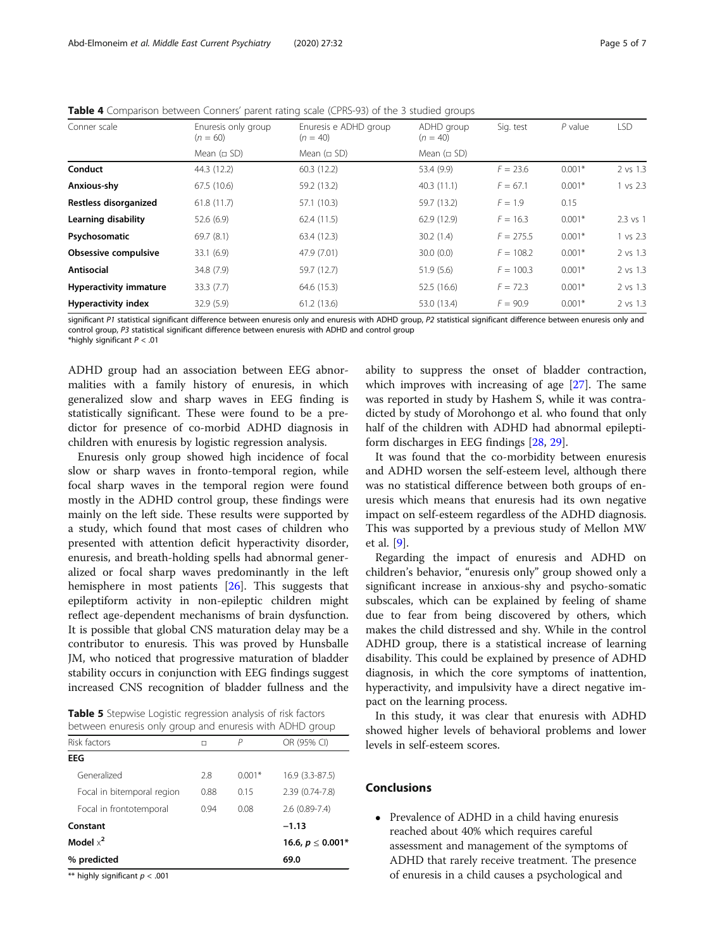| Conner scale                  | Enuresis only group<br>$(n = 60)$ | Enuresis e ADHD group<br>$(n = 40)$ | ADHD group<br>$(n = 40)$ | Sig. test   | $P$ value | LSD          |
|-------------------------------|-----------------------------------|-------------------------------------|--------------------------|-------------|-----------|--------------|
|                               | Mean $(nSD)$                      | Mean $(nSD)$                        | Mean $( \Box SD )$       |             |           |              |
| Conduct                       | 44.3 (12.2)                       | 60.3(12.2)                          | 53.4 (9.9)               | $F = 23.6$  | $0.001*$  | 2 vs 1.3     |
| Anxious-shy                   | 67.5 (10.6)                       | 59.2 (13.2)                         | 40.3(11.1)               | $F = 67.1$  | $0.001*$  | 1 vs 2.3     |
| Restless disorganized         | 61.8(11.7)                        | 57.1 (10.3)                         | 59.7 (13.2)              | $F = 1.9$   | 0.15      |              |
| Learning disability           | 52.6(6.9)                         | 62.4(11.5)                          | 62.9 (12.9)              | $F = 16.3$  | $0.001*$  | $2.3$ vs $1$ |
| Psychosomatic                 | 69.7(8.1)                         | 63.4 (12.3)                         | 30.2(1.4)                | $F = 275.5$ | $0.001*$  | 1 vs 2.3     |
| Obsessive compulsive          | 33.1 (6.9)                        | 47.9 (7.01)                         | 30.0(0.0)                | $F = 108.2$ | $0.001*$  | 2 vs 1.3     |
| Antisocial                    | 34.8 (7.9)                        | 59.7 (12.7)                         | 51.9(5.6)                | $F = 100.3$ | $0.001*$  | 2 vs 1.3     |
| <b>Hyperactivity immature</b> | 33.3(7.7)                         | 64.6 (15.3)                         | 52.5 (16.6)              | $F = 72.3$  | $0.001*$  | 2 vs 1.3     |
| <b>Hyperactivity index</b>    | 32.9(5.9)                         | 61.2(13.6)                          | 53.0 (13.4)              | $F = 90.9$  | $0.001*$  | 2 vs 1.3     |

<span id="page-4-0"></span>Table 4 Comparison between Conners' parent rating scale (CPRS-93) of the 3 studied groups

significant P1 statistical significant difference between enuresis only and enuresis with ADHD group, P2 statistical significant difference between enuresis only and control group, P3 statistical significant difference between enuresis with ADHD and control group

\*highly significant  $P < .01$ 

ADHD group had an association between EEG abnormalities with a family history of enuresis, in which generalized slow and sharp waves in EEG finding is statistically significant. These were found to be a predictor for presence of co-morbid ADHD diagnosis in children with enuresis by logistic regression analysis.

Enuresis only group showed high incidence of focal slow or sharp waves in fronto-temporal region, while focal sharp waves in the temporal region were found mostly in the ADHD control group, these findings were mainly on the left side. These results were supported by a study, which found that most cases of children who presented with attention deficit hyperactivity disorder, enuresis, and breath-holding spells had abnormal generalized or focal sharp waves predominantly in the left hemisphere in most patients [\[26](#page-6-0)]. This suggests that epileptiform activity in non-epileptic children might reflect age-dependent mechanisms of brain dysfunction. It is possible that global CNS maturation delay may be a contributor to enuresis. This was proved by Hunsballe JM, who noticed that progressive maturation of bladder stability occurs in conjunction with EEG findings suggest increased CNS recognition of bladder fullness and the

|  |  | Table 5 Stepwise Logistic regression analysis of risk factors |                                                          |
|--|--|---------------------------------------------------------------|----------------------------------------------------------|
|  |  |                                                               | between enuresis only group and enuresis with ADHD group |

| Risk factors               | п                     | Р        | OR (95% CI)       |
|----------------------------|-----------------------|----------|-------------------|
| <b>EEG</b>                 |                       |          |                   |
| Generalized                | 2.8                   | $0.001*$ | 16.9 (3.3-87.5)   |
| Focal in bitemporal region | 0.88                  | 0.15     | 2.39 (0.74-7.8)   |
| Focal in frontotemporal    | 0.94                  | 0.08     | $2.6(0.89 - 7.4)$ |
| Constant                   | $-1.13$               |          |                   |
| Model $x^2$                | 16.6, $p \leq 0.001*$ |          |                   |
| % predicted                |                       |          | 69.0              |

\*\* highly significant  $p < .001$ 

ability to suppress the onset of bladder contraction, which improves with increasing of age [\[27](#page-6-0)]. The same was reported in study by Hashem S, while it was contradicted by study of Morohongo et al. who found that only half of the children with ADHD had abnormal epileptiform discharges in EEG findings [\[28](#page-6-0), [29](#page-6-0)].

It was found that the co-morbidity between enuresis and ADHD worsen the self-esteem level, although there was no statistical difference between both groups of enuresis which means that enuresis had its own negative impact on self-esteem regardless of the ADHD diagnosis. This was supported by a previous study of Mellon MW et al. [\[9](#page-5-0)].

Regarding the impact of enuresis and ADHD on children's behavior, "enuresis only" group showed only a significant increase in anxious-shy and psycho-somatic subscales, which can be explained by feeling of shame due to fear from being discovered by others, which makes the child distressed and shy. While in the control ADHD group, there is a statistical increase of learning disability. This could be explained by presence of ADHD diagnosis, in which the core symptoms of inattention, hyperactivity, and impulsivity have a direct negative impact on the learning process.

In this study, it was clear that enuresis with ADHD showed higher levels of behavioral problems and lower levels in self-esteem scores.

# **Conclusions**

• Prevalence of ADHD in a child having enuresis reached about 40% which requires careful assessment and management of the symptoms of ADHD that rarely receive treatment. The presence of enuresis in a child causes a psychological and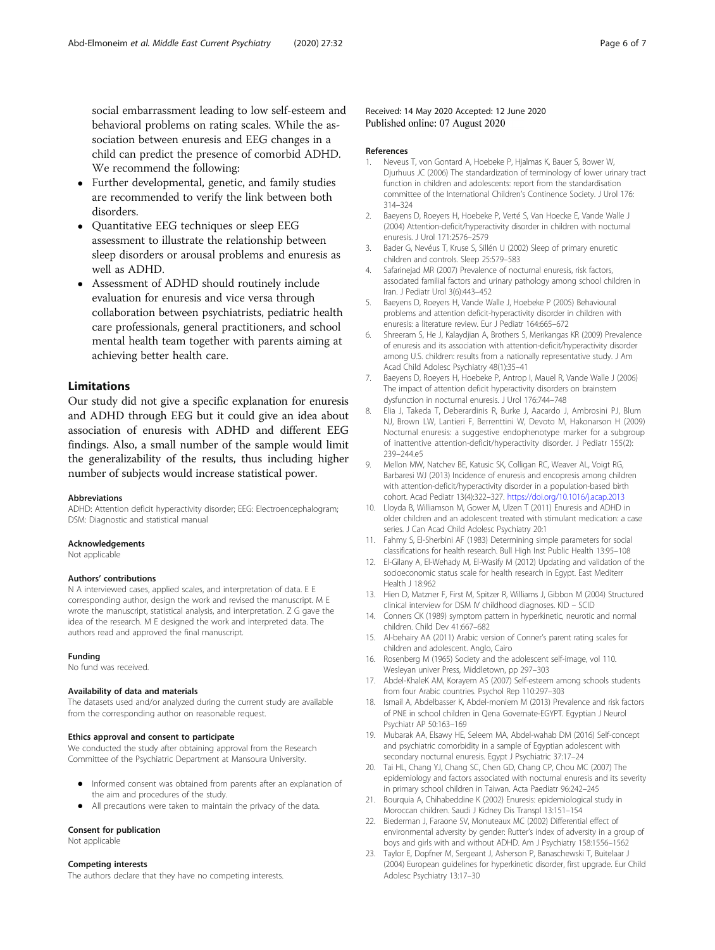<span id="page-5-0"></span>social embarrassment leading to low self-esteem and behavioral problems on rating scales. While the association between enuresis and EEG changes in a child can predict the presence of comorbid ADHD. We recommend the following:

- Further developmental, genetic, and family studies are recommended to verify the link between both disorders.
- Quantitative EEG techniques or sleep EEG assessment to illustrate the relationship between sleep disorders or arousal problems and enuresis as well as ADHD.
- Assessment of ADHD should routinely include evaluation for enuresis and vice versa through collaboration between psychiatrists, pediatric health care professionals, general practitioners, and school mental health team together with parents aiming at achieving better health care.

# Limitations

Our study did not give a specific explanation for enuresis and ADHD through EEG but it could give an idea about association of enuresis with ADHD and different EEG findings. Also, a small number of the sample would limit the generalizability of the results, thus including higher number of subjects would increase statistical power.

#### Abbreviations

ADHD: Attention deficit hyperactivity disorder; EEG: Electroencephalogram; DSM: Diagnostic and statistical manual

#### Acknowledgements

Not applicable

#### Authors' contributions

N A interviewed cases, applied scales, and interpretation of data. E E corresponding author, design the work and revised the manuscript. M E wrote the manuscript, statistical analysis, and interpretation. Z G gave the idea of the research. M E designed the work and interpreted data. The authors read and approved the final manuscript.

#### Funding

No fund was received.

#### Availability of data and materials

The datasets used and/or analyzed during the current study are available from the corresponding author on reasonable request.

#### Ethics approval and consent to participate

We conducted the study after obtaining approval from the Research Committee of the Psychiatric Department at Mansoura University.

- Informed consent was obtained from parents after an explanation of the aim and procedures of the study.
- All precautions were taken to maintain the privacy of the data.

## Consent for publication

Not applicable

# Competing interests

The authors declare that they have no competing interests.

### Received: 14 May 2020 Accepted: 12 June 2020 Published online: 07 August 2020

#### References

- 1. Neveus T, von Gontard A, Hoebeke P, Hjalmas K, Bauer S, Bower W, Djurhuus JC (2006) The standardization of terminology of lower urinary tract function in children and adolescents: report from the standardisation committee of the International Children's Continence Society. J Urol 176: 314–324
- 2. Baeyens D, Roeyers H, Hoebeke P, Verté S, Van Hoecke E, Vande Walle J (2004) Attention-deficit/hyperactivity disorder in children with nocturnal enuresis. J Urol 171:2576–2579
- 3. Bader G, Nevéus T, Kruse S, Sillén U (2002) Sleep of primary enuretic children and controls. Sleep 25:579–583
- 4. Safarinejad MR (2007) Prevalence of nocturnal enuresis, risk factors, associated familial factors and urinary pathology among school children in Iran. J Pediatr Urol 3(6):443–452
- 5. Baeyens D, Roeyers H, Vande Walle J, Hoebeke P (2005) Behavioural problems and attention deficit-hyperactivity disorder in children with enuresis: a literature review. Eur J Pediatr 164:665–672
- 6. Shreeram S, He J, Kalaydjian A, Brothers S, Merikangas KR (2009) Prevalence of enuresis and its association with attention-deficit/hyperactivity disorder among U.S. children: results from a nationally representative study. J Am Acad Child Adolesc Psychiatry 48(1):35–41
- 7. Baeyens D, Roeyers H, Hoebeke P, Antrop I, Mauel R, Vande Walle J (2006) The impact of attention deficit hyperactivity disorders on brainstem dysfunction in nocturnal enuresis. J Urol 176:744–748
- 8. Elia J, Takeda T, Deberardinis R, Burke J, Aacardo J, Ambrosini PJ, Blum NJ, Brown LW, Lantieri F, Berrenttini W, Devoto M, Hakonarson H (2009) Nocturnal enuresis: a suggestive endophenotype marker for a subgroup of inattentive attention-deficit/hyperactivity disorder. J Pediatr 155(2): 239–244.e5
- 9. Mellon MW, Natchev BE, Katusic SK, Colligan RC, Weaver AL, Voigt RG, Barbaresi WJ (2013) Incidence of enuresis and encopresis among children with attention-deficit/hyperactivity disorder in a population-based birth cohort. Acad Pediatr 13(4):322–327. <https://doi.org/10.1016/j.acap.2013>
- 10. Lloyda B, Williamson M, Gower M, Ulzen T (2011) Enuresis and ADHD in older children and an adolescent treated with stimulant medication: a case series. J Can Acad Child Adolesc Psychiatry 20:1
- 11. Fahmy S, El-Sherbini AF (1983) Determining simple parameters for social classifications for health research. Bull High Inst Public Health 13:95–108
- 12. El-Gilany A, El-Wehady M, El-Wasify M (2012) Updating and validation of the socioeconomic status scale for health research in Egypt. East Mediterr Health J 18:962
- 13. Hien D, Matzner F, First M, Spitzer R, Williams J, Gibbon M (2004) Structured clinical interview for DSM IV childhood diagnoses. KID – SCID
- 14. Conners CK (1989) symptom pattern in hyperkinetic, neurotic and normal children. Child Dev 41:667–682
- 15. Al-behairy AA (2011) Arabic version of Conner's parent rating scales for children and adolescent. Anglo, Cairo
- 16. Rosenberg M (1965) Society and the adolescent self-image, vol 110. Wesleyan univer Press, Middletown, pp 297–303
- 17. Abdel-KhaleK AM, Korayem AS (2007) Self-esteem among schools students from four Arabic countries. Psychol Rep 110:297–303
- 18. Ismail A, Abdelbasser K, Abdel-moniem M (2013) Prevalence and risk factors of PNE in school children in Qena Governate-EGYPT. Egyptian J Neurol Psychiatr AP 50:163–169
- 19. Mubarak AA, Elsawy HE, Seleem MA, Abdel-wahab DM (2016) Self-concept and psychiatric comorbidity in a sample of Egyptian adolescent with secondary nocturnal enuresis. Egypt J Psychiatric 37:17–24
- 20. Tai HL, Chang YJ, Chang SC, Chen GD, Chang CP, Chou MC (2007) The epidemiology and factors associated with nocturnal enuresis and its severity in primary school children in Taiwan. Acta Paediatr 96:242–245
- 21. Bourquia A, Chihabeddine K (2002) Enuresis: epidemiological study in Moroccan children. Saudi J Kidney Dis Transpl 13:151–154
- 22. Biederman J, Faraone SV, Monuteaux MC (2002) Differential effect of environmental adversity by gender: Rutter's index of adversity in a group of boys and girls with and without ADHD. Am J Psychiatry 158:1556–1562
- 23. Taylor E, Dopfner M, Sergeant J, Asherson P, Banaschewski T, Buitelaar J (2004) European guidelines for hyperkinetic disorder, first upgrade. Eur Child Adolesc Psychiatry 13:17–30